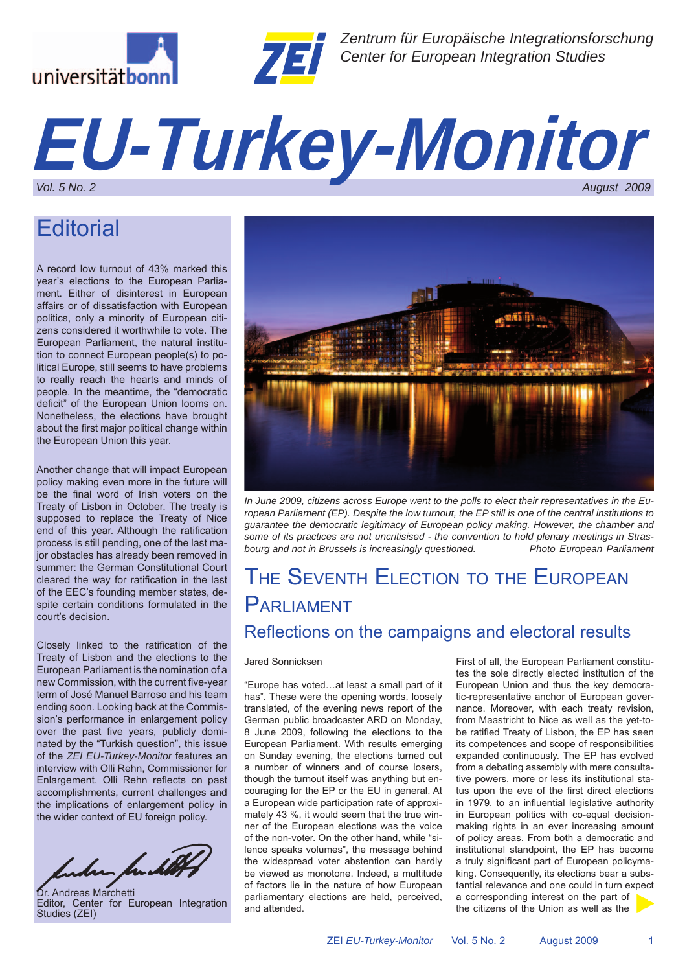



*Zentrum für Europäische Integrationsforschung Center for European Integration Studies*

# *EU-Turkey-Monitor Vol. 5 No. 2 August 2009*

## **Editorial**

A record low turnout of 43% marked this year's elections to the European Parliament. Either of disinterest in European affairs or of dissatisfaction with European politics, only a minority of European citizens considered it worthwhile to vote. The European Parliament, the natural institution to connect European people(s) to political Europe, still seems to have problems to really reach the hearts and minds of people. In the meantime, the "democratic deficit" of the European Union looms on. Nonetheless, the elections have brought about the first major political change within the European Union this year.

Another change that will impact European policy making even more in the future will be the final word of Irish voters on the Treaty of Lisbon in October. The treaty is supposed to replace the Treaty of Nice end of this year. Although the ratification process is still pending, one of the last major obstacles has already been removed in summer: the German Constitutional Court cleared the way for ratification in the last of the EEC's founding member states, despite certain conditions formulated in the court's decision.

Closely linked to the ratification of the Treaty of Lisbon and the elections to the European Parliament is the nomination of a new Commission, with the current five-year term of José Manuel Barroso and his team ending soon. Looking back at the Commission's performance in enlargement policy over the past five years, publicly dominated by the "Turkish question", this issue of the *ZEI EU-Turkey-Monitor* features an interview with Olli Rehn, Commissioner for Enlargement. Olli Rehn reflects on past accomplishments, current challenges and the implications of enlargement policy in the wider context of EU foreign policy.

bakan fanklit

Dr. Andreas Marchetti Editor, Center for European Integration Studies (ZEI)



*In June 2009, citizens across Europe went to the polls to elect their representatives in the European Parliament (EP). Despite the low turnout, the EP still is one of the central institutions to guarantee the democratic legitimacy of European policy making. However, the chamber and some of its practices are not uncritisised - the convention to hold plenary meetings in Strasbourg and not in Brussels is increasingly questioned.* 

### THE SEVENTH ELECTION TO THE EUROPEAN PARLIAMENT Reflections on the campaigns and electoral results

#### Jared Sonnicksen

"Europe has voted…at least a small part of it has". These were the opening words, loosely translated, of the evening news report of the German public broadcaster ARD on Monday, 8 June 2009, following the elections to the European Parliament. With results emerging on Sunday evening, the elections turned out a number of winners and of course losers, though the turnout itself was anything but encouraging for the EP or the EU in general. At a European wide participation rate of approximately 43 %, it would seem that the true winner of the European elections was the voice of the non-voter. On the other hand, while "silence speaks volumes", the message behind the widespread voter abstention can hardly be viewed as monotone. Indeed, a multitude of factors lie in the nature of how European parliamentary elections are held, perceived, and attended.

First of all, the European Parliament constitutes the sole directly elected institution of the European Union and thus the key democratic-representative anchor of European governance. Moreover, with each treaty revision, from Maastricht to Nice as well as the yet-tobe ratified Treaty of Lisbon, the EP has seen its competences and scope of responsibilities expanded continuously. The EP has evolved from a debating assembly with mere consultative powers, more or less its institutional status upon the eve of the first direct elections in 1979, to an influential legislative authority in European politics with co-equal decisionmaking rights in an ever increasing amount of policy areas. From both a democratic and institutional standpoint, the EP has become a truly significant part of European policymaking. Consequently, its elections bear a substantial relevance and one could in turn expect a corresponding interest on the part of the citizens of the Union as well as the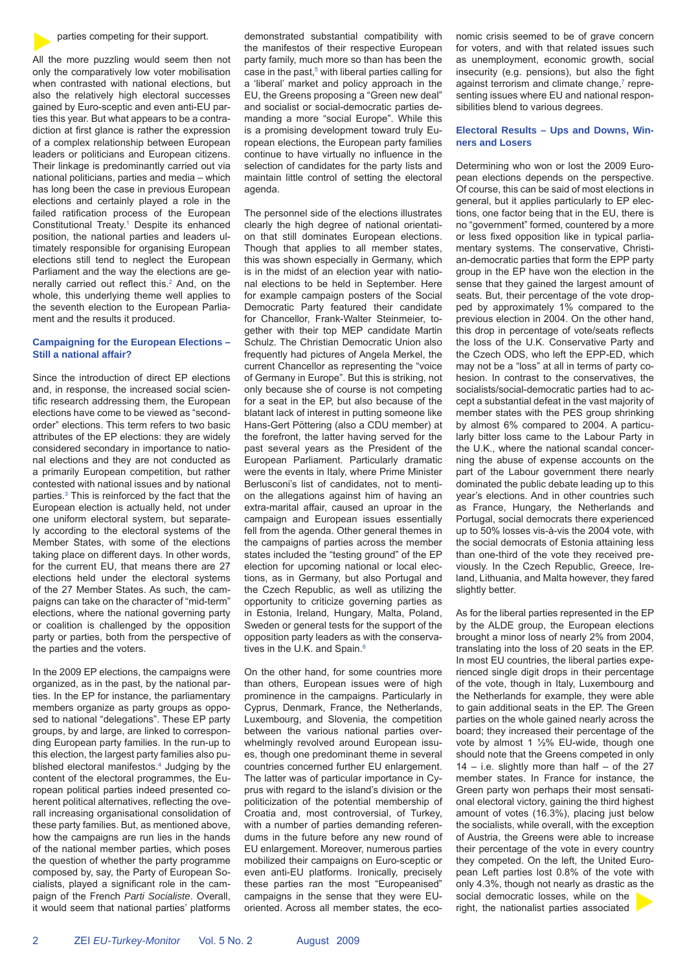#### parties competing for their support.

All the more puzzling would seem then not only the comparatively low voter mobilisation when contrasted with national elections, but also the relatively high electoral successes gained by Euro-sceptic and even anti-EU parties this year. But what appears to be a contradiction at first glance is rather the expression of a complex relationship between European leaders or politicians and European citizens. Their linkage is predominantly carried out via national politicians, parties and media – which has long been the case in previous European elections and certainly played a role in the failed ratification process of the European Constitutional Treaty.1 Despite its enhanced position, the national parties and leaders ultimately responsible for organising European elections still tend to neglect the European Parliament and the way the elections are generally carried out reflect this.<sup>2</sup> And, on the whole, this underlying theme well applies to the seventh election to the European Parliament and the results it produced.

#### **Campaigning for the European Elections – Still a national affair?**

Since the introduction of direct EP elections and, in response, the increased social scientific research addressing them, the European elections have come to be viewed as "secondorder" elections. This term refers to two basic attributes of the EP elections: they are widely considered secondary in importance to national elections and they are not conducted as a primarily European competition, but rather contested with national issues and by national parties.3 This is reinforced by the fact that the European election is actually held, not under one uniform electoral system, but separately according to the electoral systems of the Member States, with some of the elections taking place on different days. In other words, for the current EU, that means there are 27 elections held under the electoral systems of the 27 Member States. As such, the campaigns can take on the character of "mid-term" elections, where the national governing party or coalition is challenged by the opposition party or parties, both from the perspective of the parties and the voters.

In the 2009 EP elections, the campaigns were organized, as in the past, by the national parties. In the EP for instance, the parliamentary members organize as party groups as opposed to national "delegations". These EP party groups, by and large, are linked to corresponding European party families. In the run-up to this election, the largest party families also published electoral manifestos.<sup>4</sup> Judging by the content of the electoral programmes, the European political parties indeed presented coherent political alternatives, reflecting the overall increasing organisational consolidation of these party families. But, as mentioned above, how the campaigns are run lies in the hands of the national member parties, which poses the question of whether the party programme composed by, say, the Party of European Socialists, played a significant role in the campaign of the French *Parti Socialiste*. Overall, it would seem that national parties' platforms

demonstrated substantial compatibility with the manifestos of their respective European party family, much more so than has been the case in the past, $5$  with liberal parties calling for a 'liberal' market and policy approach in the EU, the Greens proposing a "Green new deal" and socialist or social-democratic parties demanding a more "social Europe". While this is a promising development toward truly European elections, the European party families continue to have virtually no influence in the selection of candidates for the party lists and maintain little control of setting the electoral agenda

The personnel side of the elections illustrates clearly the high degree of national orientation that still dominates European elections. Though that applies to all member states, this was shown especially in Germany, which is in the midst of an election year with national elections to be held in September. Here for example campaign posters of the Social Democratic Party featured their candidate for Chancellor, Frank-Walter Steinmeier, together with their top MEP candidate Martin Schulz. The Christian Democratic Union also frequently had pictures of Angela Merkel, the current Chancellor as representing the "voice of Germany in Europe". But this is striking, not only because she of course is not competing for a seat in the EP, but also because of the blatant lack of interest in putting someone like Hans-Gert Pöttering (also a CDU member) at the forefront, the latter having served for the past several years as the President of the European Parliament. Particularly dramatic were the events in Italy, where Prime Minister Berlusconi's list of candidates, not to mention the allegations against him of having an extra-marital affair, caused an uproar in the campaign and European issues essentially fell from the agenda. Other general themes in the campaigns of parties across the member states included the "testing ground" of the EP election for upcoming national or local elections, as in Germany, but also Portugal and the Czech Republic, as well as utilizing the opportunity to criticize governing parties as in Estonia, Ireland, Hungary, Malta, Poland, Sweden or general tests for the support of the opposition party leaders as with the conservatives in the U.K. and Spain.6

On the other hand, for some countries more than others, European issues were of high prominence in the campaigns. Particularly in Cyprus, Denmark, France, the Netherlands, Luxembourg, and Slovenia, the competition between the various national parties overwhelmingly revolved around European issues, though one predominant theme in several countries concerned further EU enlargement. The latter was of particular importance in Cyprus with regard to the island's division or the politicization of the potential membership of Croatia and, most controversial, of Turkey, with a number of parties demanding referendums in the future before any new round of EU enlargement. Moreover, numerous parties mobilized their campaigns on Euro-sceptic or even anti-EU platforms. Ironically, precisely these parties ran the most "Europeanised" campaigns in the sense that they were EUoriented. Across all member states, the economic crisis seemed to be of grave concern for voters, and with that related issues such as unemployment, economic growth, social insecurity (e.g. pensions), but also the fight against terrorism and climate change, $<sup>7</sup>$  repre-</sup> senting issues where EU and national responsibilities blend to various degrees.

#### **Electoral Results – Ups and Downs, Winners and Losers**

Determining who won or lost the 2009 European elections depends on the perspective. Of course, this can be said of most elections in general, but it applies particularly to EP elections, one factor being that in the EU, there is no "government" formed, countered by a more or less fixed opposition like in typical parliamentary systems. The conservative, Christian-democratic parties that form the EPP party group in the EP have won the election in the sense that they gained the largest amount of seats. But, their percentage of the vote dropped by approximately 1% compared to the previous election in 2004. On the other hand, this drop in percentage of vote/seats reflects the loss of the U.K. Conservative Party and the Czech ODS, who left the EPP-ED, which may not be a "loss" at all in terms of party cohesion. In contrast to the conservatives, the socialists/social-democratic parties had to accept a substantial defeat in the vast majority of member states with the PES group shrinking by almost 6% compared to 2004. A particularly bitter loss came to the Labour Party in the U.K., where the national scandal concerning the abuse of expense accounts on the part of the Labour government there nearly dominated the public debate leading up to this year's elections. And in other countries such as France, Hungary, the Netherlands and Portugal, social democrats there experienced up to 50% losses vis-à-vis the 2004 vote, with the social democrats of Estonia attaining less than one-third of the vote they received previously. In the Czech Republic, Greece, Ireland, Lithuania, and Malta however, they fared slightly better.

As for the liberal parties represented in the EP by the ALDE group, the European elections brought a minor loss of nearly 2% from 2004, translating into the loss of 20 seats in the EP. In most EU countries, the liberal parties experienced single digit drops in their percentage of the vote, though in Italy, Luxembourg and the Netherlands for example, they were able to gain additional seats in the EP. The Green parties on the whole gained nearly across the board; they increased their percentage of the vote by almost 1 ½% EU-wide, though one should note that the Greens competed in only  $14 - i.e.$  slightly more than half – of the 27 member states. In France for instance, the Green party won perhaps their most sensational electoral victory, gaining the third highest amount of votes (16.3%), placing just below the socialists, while overall, with the exception of Austria, the Greens were able to increase their percentage of the vote in every country they competed. On the left, the United European Left parties lost 0.8% of the vote with only 4.3%, though not nearly as drastic as the social democratic losses, while on the right, the nationalist parties associated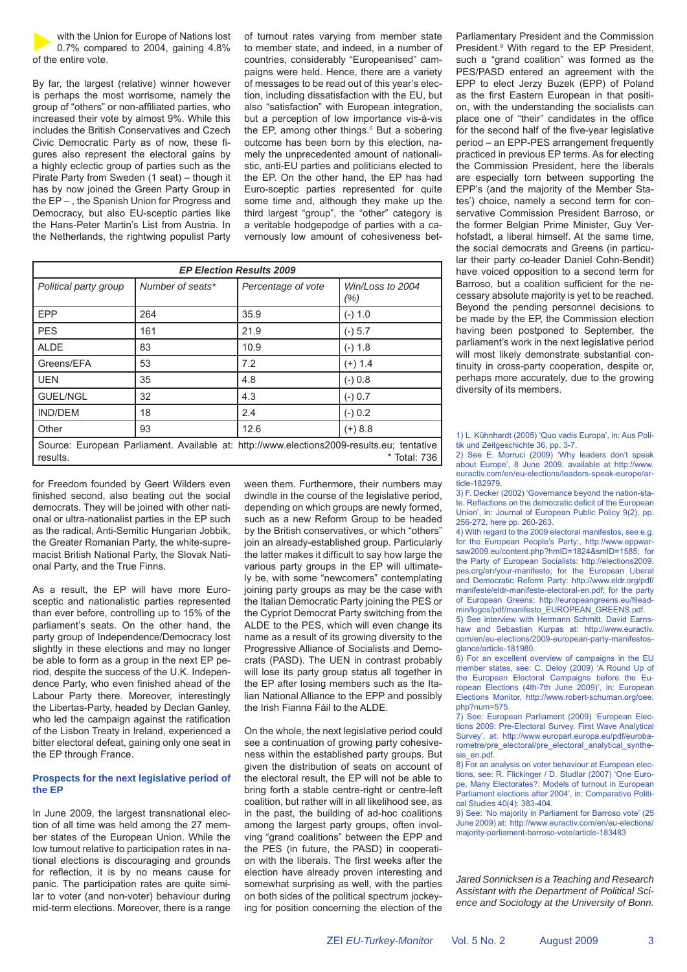with the Union for Europe of Nations lost 0.7% compared to 2004, gaining 4.8% of the entire vote.

By far, the largest (relative) winner however is perhaps the most worrisome, namely the group of "others" or non-affiliated parties, who increased their vote by almost 9%. While this includes the British Conservatives and Czech Civic Democratic Party as of now, these figures also represent the electoral gains by a highly eclectic group of parties such as the Pirate Party from Sweden (1 seat) – though it has by now joined the Green Party Group in the EP – , the Spanish Union for Progress and Democracy, but also EU-sceptic parties like the Hans-Peter Martin's List from Austria. In the Netherlands, the rightwing populist Party of turnout rates varying from member state to member state, and indeed, in a number of countries, considerably "Europeanised" campaigns were held. Hence, there are a variety of messages to be read out of this year's election, including dissatisfaction with the EU, but also "satisfaction" with European integration, but a perception of low importance vis-à-vis the EP, among other things. $8$  But a sobering outcome has been born by this election, namely the unprecedented amount of nationalistic, anti-EU parties and politicians elected to the EP. On the other hand, the EP has had Euro-sceptic parties represented for quite some time and, although they make up the third largest "group", the "other" category is a veritable hodgepodge of parties with a cavernously low amount of cohesiveness bet-

| <b>EP Election Results 2009</b>                                                                                       |                  |                    |                          |  |
|-----------------------------------------------------------------------------------------------------------------------|------------------|--------------------|--------------------------|--|
| Political party group                                                                                                 | Number of seats* | Percentage of vote | Win/Loss to 2004<br>(% ) |  |
| EPP                                                                                                                   | 264              | 35.9               | $(-) 1.0$                |  |
| <b>PES</b>                                                                                                            | 161              | 21.9               | $(-) 5.7$                |  |
| <b>ALDE</b>                                                                                                           | 83               | 10.9               | $(-) 1.8$                |  |
| Greens/EFA                                                                                                            | 53               | 7.2                | $(+) 1.4$                |  |
| <b>UEN</b>                                                                                                            | 35               | 4.8                | $(-) 0.8$                |  |
| <b>GUEL/NGL</b>                                                                                                       | 32               | 4.3                | $(-) 0.7$                |  |
| <b>IND/DEM</b>                                                                                                        | 18               | 2.4                | $(-) 0.2$                |  |
| Other                                                                                                                 | 93               | 12.6               | $(+) 8.8$                |  |
| Source: European Parliament. Available at: http://www.elections2009-results.eu; tentative<br>* Total: 736<br>results. |                  |                    |                          |  |

for Freedom founded by Geert Wilders even finished second, also beating out the social democrats. They will be joined with other national or ultra-nationalist parties in the EP such as the radical, Anti-Semitic Hungarian Jobbik, the Greater Romanian Party, the white-supremacist British National Party, the Slovak National Party, and the True Finns.

As a result, the EP will have more Eurosceptic and nationalistic parties represented than ever before, controlling up to 15% of the parliament's seats. On the other hand, the party group of Independence/Democracy lost slightly in these elections and may no longer be able to form as a group in the next EP period, despite the success of the U.K. Independence Party, who even finished ahead of the Labour Party there. Moreover, interestingly the Libertas-Party, headed by Declan Ganley, who led the campaign against the ratification of the Lisbon Treaty in Ireland, experienced a bitter electoral defeat, gaining only one seat in the EP through France.

#### **Prospects for the next legislative period of the EP**

In June 2009, the largest transnational election of all time was held among the 27 member states of the European Union. While the low turnout relative to participation rates in national elections is discouraging and grounds for reflection, it is by no means cause for panic. The participation rates are quite similar to voter (and non-voter) behaviour during mid-term elections. Moreover, there is a range

ween them. Furthermore, their numbers may dwindle in the course of the legislative period, depending on which groups are newly formed, such as a new Reform Group to be headed by the British conservatives, or which "others" join an already-established group. Particularly the latter makes it difficult to say how large the various party groups in the EP will ultimately be, with some "newcomers" contemplating joining party groups as may be the case with the Italian Democratic Party joining the PES or the Cypriot Democrat Party switching from the ALDE to the PES, which will even change its name as a result of its growing diversity to the Progressive Alliance of Socialists and Democrats (PASD). The UEN in contrast probably will lose its party group status all together in the EP after losing members such as the Italian National Alliance to the EPP and possibly the Irish Fianna Fáil to the ALDE.

On the whole, the next legislative period could see a continuation of growing party cohesiveness within the established party groups. But given the distribution of seats on account of the electoral result, the EP will not be able to bring forth a stable centre-right or centre-left coalition, but rather will in all likelihood see, as in the past, the building of ad-hoc coalitions among the largest party groups, often involving "grand coalitions" between the EPP and the PES (in future, the PASD) in cooperation with the liberals. The first weeks after the election have already proven interesting and somewhat surprising as well, with the parties on both sides of the political spectrum jockeying for position concerning the election of the Parliamentary President and the Commission President.<sup>9</sup> With regard to the EP President, such a "grand coalition" was formed as the PES/PASD entered an agreement with the EPP to elect Jerzy Buzek (EPP) of Poland as the first Eastern European in that position, with the understanding the socialists can place one of "their" candidates in the office for the second half of the five-year legislative period – an EPP-PES arrangement frequently practiced in previous EP terms. As for electing the Commission President, here the liberals are especially torn between supporting the EPP's (and the majority of the Member States') choice, namely a second term for conservative Commission President Barroso, or the former Belgian Prime Minister, Guy Verhofstadt, a liberal himself. At the same time, the social democrats and Greens (in particular their party co-leader Daniel Cohn-Bendit) have voiced opposition to a second term for Barroso, but a coalition sufficient for the necessary absolute majority is yet to be reached. Beyond the pending personnel decisions to be made by the EP, the Commission election having been postponed to September, the parliament's work in the next legislative period will most likely demonstrate substantial continuity in cross-party cooperation, despite or, perhaps more accurately, due to the growing diversity of its members.

1) L. Kühnhardt (2005) 'Quo vadis Europa', in: Aus Politik und Zeitgeschichte 36, pp. 3-7.

2) See E. Morruci (2009) 'Why leaders don't speak about Europe', 8 June 2009, available at http://www. euractiv.com/en/eu-elections/leaders-speak-europe/article-182979.

3) F. Decker (2002) 'Governance beyond the nation-state. Reflections on the democratic deficit of the European Union', in: Journal of European Public Policy 9(2), pp. 256-272, here pp. 260-263.

4) With regard to the 2009 electoral manifestos, see e.g. for the European People's Party:, http://www.eppwarsaw2009.eu/content.php?hmID=1824&smID=1585; for the Party of European Socialists: http://elections2009. pes.org/en/your-manifesto; for the European Liberal and Democratic Reform Party: http://www.eldr.org/pdf/ manifeste/eldr-manifeste-electoral-en.pdf; for the party of European Greens: http://europeangreens.eu/fileadmin/logos/pdf/manifesto\_EUROPEAN\_GREENS.pdf.

5) See interview with Hermann Schmitt, David Earnshaw and Sebastian Kurpas at: http://www.euractiv. com/en/eu-elections/2009-european-party-manifestosglance/article-181980.

6) For an excellent overview of campaigns in the EU member states, see: C. Deloy (2009) 'A Round Up of the European Electoral Campaigns before the European Elections (4th-7th June 2009)', in: European Elections Monitor, http://www.robert-schuman.org/oee. php?num=575.

7) See: European Parliament (2009) 'European Elections 2009: Pre-Electoral Survey. First Wave Analytical Survey', at: http://www.europarl.europa.eu/pdf/eurobarometre/pre\_electoral/pre\_electoral\_analytical\_synthesis\_en.pdf.

8) For an analysis on voter behaviour at European elections, see: R. Flickinger / D. Studlar (2007) 'One Europe, Many Electorates?: Models of turnout in European Parliament elections after 2004', in: Comparative Political Studies 40(4): 383-404.

9) See: 'No majority in Parliament for Barroso vote' (25 June 2009) at: http://www.euractiv.com/en/eu-elections/ majority-parliament-barroso-vote/article-183483

*Jared Sonnicksen is a Teaching and Research Assistant with the Department of Political Science and Sociology at the University of Bonn.*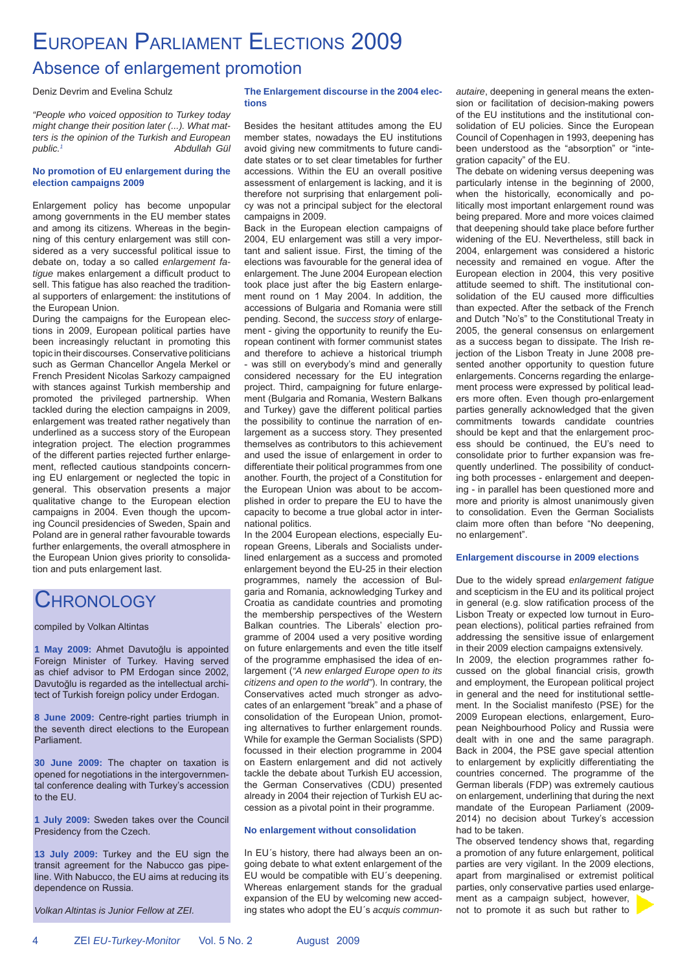### EUROPEAN PARLIAMENT ELECTIONS 2009

### Absence of enlargement promotion

Deniz Devrim and Evelina Schulz

*"People who voiced opposition to Turkey today might change their position later (...). What matters is the opinion of the Turkish and European public.1 Abdullah Gül*

#### **No promotion of EU enlargement during the election campaigns 2009**

Enlargement policy has become unpopular among governments in the EU member states and among its citizens. Whereas in the beginning of this century enlargement was still considered as a very successful political issue to debate on, today a so called *enlargement fatique* makes enlargement a difficult product to sell. This fatigue has also reached the traditional supporters of enlargement: the institutions of the European Union.

During the campaigns for the European elections in 2009, European political parties have been increasingly reluctant in promoting this topic in their discourses. Conservative politicians such as German Chancellor Angela Merkel or French President Nicolas Sarkozy campaigned with stances against Turkish membership and promoted the privileged partnership. When tackled during the election campaigns in 2009, enlargement was treated rather negatively than underlined as a success story of the European integration project. The election programmes of the different parties rejected further enlargement, reflected cautious standpoints concerning EU enlargement or neglected the topic in general. This observation presents a major qualitative change to the European election campaigns in 2004. Even though the upcoming Council presidencies of Sweden, Spain and Poland are in general rather favourable towards further enlargements, the overall atmosphere in the European Union gives priority to consolidation and puts enlargement last.

### **CHRONOLOGY**

compiled by Volkan Altintas

**1 May 2009:** Ahmet Davutoğlu is appointed Foreign Minister of Turkey. Having served as chief advisor to PM Erdogan since 2002, Davutoğlu is regarded as the intellectual architect of Turkish foreign policy under Erdogan.

**8 June 2009:** Centre-right parties triumph in the seventh direct elections to the European Parliament.

**30 June 2009:** The chapter on taxation is opened for negotiations in the intergovernmental conference dealing with Turkey's accession to the EU.

**1 July 2009:** Sweden takes over the Council Presidency from the Czech.

**13 July 2009:** Turkey and the EU sign the transit agreement for the Nabucco gas pipeline. With Nabucco, the EU aims at reducing its dependence on Russia.

*Volkan Altintas is Junior Fellow at ZEI.*

#### **The Enlargement discourse in the 2004 elections**

Besides the hesitant attitudes among the EU member states, nowadays the EU institutions avoid giving new commitments to future candidate states or to set clear timetables for further accessions. Within the EU an overall positive assessment of enlargement is lacking, and it is therefore not surprising that enlargement policy was not a principal subject for the electoral campaigns in 2009.

Back in the European election campaigns of 2004, EU enlargement was still a very important and salient issue. First, the timing of the elections was favourable for the general idea of enlargement. The June 2004 European election took place just after the big Eastern enlargement round on 1 May 2004. In addition, the accessions of Bulgaria and Romania were still pending. Second, the *success story* of enlargement - giving the opportunity to reunify the European continent with former communist states and therefore to achieve a historical triumph - was still on everybody's mind and generally considered necessary for the EU integration project. Third, campaigning for future enlargement (Bulgaria and Romania, Western Balkans and Turkey) gave the different political parties the possibility to continue the narration of enlargement as a success story. They presented themselves as contributors to this achievement and used the issue of enlargement in order to differentiate their political programmes from one another. Fourth, the project of a Constitution for the European Union was about to be accomplished in order to prepare the EU to have the capacity to become a true global actor in international politics.

In the 2004 European elections, especially European Greens, Liberals and Socialists underlined enlargement as a success and promoted enlargement beyond the EU-25 in their election programmes, namely the accession of Bulgaria and Romania, acknowledging Turkey and Croatia as candidate countries and promoting the membership perspectives of the Western Balkan countries. The Liberals' election programme of 2004 used a very positive wording on future enlargements and even the title itself of the programme emphasised the idea of enlargement (*"A new enlarged Europe open to its citizens and open to the world"*). In contrary, the Conservatives acted much stronger as advocates of an enlargement "break" and a phase of consolidation of the European Union, promoting alternatives to further enlargement rounds. While for example the German Socialists (SPD) focussed in their election programme in 2004 on Eastern enlargement and did not actively tackle the debate about Turkish EU accession, the German Conservatives (CDU) presented already in 2004 their rejection of Turkish EU accession as a pivotal point in their programme.

### **No enlargement without consolidation**

In EU´s history, there had always been an ongoing debate to what extent enlargement of the EU would be compatible with EU´s deepening. Whereas enlargement stands for the gradual expansion of the EU by welcoming new acceding states who adopt the EU´s *acquis commun-* *autaire*, deepening in general means the extension or facilitation of decision-making powers of the EU institutions and the institutional consolidation of EU policies. Since the European Council of Copenhagen in 1993, deepening has been understood as the "absorption" or "integration capacity" of the EU.

The debate on widening versus deepening was particularly intense in the beginning of 2000, when the historically, economically and politically most important enlargement round was being prepared. More and more voices claimed that deepening should take place before further widening of the EU. Nevertheless, still back in 2004, enlargement was considered a historic necessity and remained en vogue. After the European election in 2004, this very positive attitude seemed to shift. The institutional consolidation of the EU caused more difficulties than expected. After the setback of the French and Dutch "No's" to the Constitutional Treaty in 2005, the general consensus on enlargement as a success began to dissipate. The Irish rejection of the Lisbon Treaty in June 2008 presented another opportunity to question future enlargements. Concerns regarding the enlargement process were expressed by political leaders more often. Even though pro-enlargement parties generally acknowledged that the given commitments towards candidate countries should be kept and that the enlargement process should be continued, the EU's need to consolidate prior to further expansion was frequently underlined. The possibility of conducting both processes - enlargement and deepening - in parallel has been questioned more and more and priority is almost unanimously given to consolidation. Even the German Socialists claim more often than before "No deepening, no enlargement".

#### **Enlargement discourse in 2009 elections**

Due to the widely spread *enlargement fatigue*  and scepticism in the EU and its political project in general (e.g. slow ratification process of the Lisbon Treaty or expected low turnout in European elections), political parties refrained from addressing the sensitive issue of enlargement in their 2009 election campaigns extensively.

In 2009, the election programmes rather focussed on the global financial crisis, growth and employment, the European political project in general and the need for institutional settlement. In the Socialist manifesto (PSE) for the 2009 European elections, enlargement, European Neighbourhood Policy and Russia were dealt with in one and the same paragraph. Back in 2004, the PSE gave special attention to enlargement by explicitly differentiating the countries concerned. The programme of the German liberals (FDP) was extremely cautious on enlargement, underlining that during the next mandate of the European Parliament (2009- 2014) no decision about Turkey's accession had to be taken.

The observed tendency shows that, regarding a promotion of any future enlargement, political parties are very vigilant. In the 2009 elections, apart from marginalised or extremist political parties, only conservative parties used enlargement as a campaign subject, however, not to promote it as such but rather to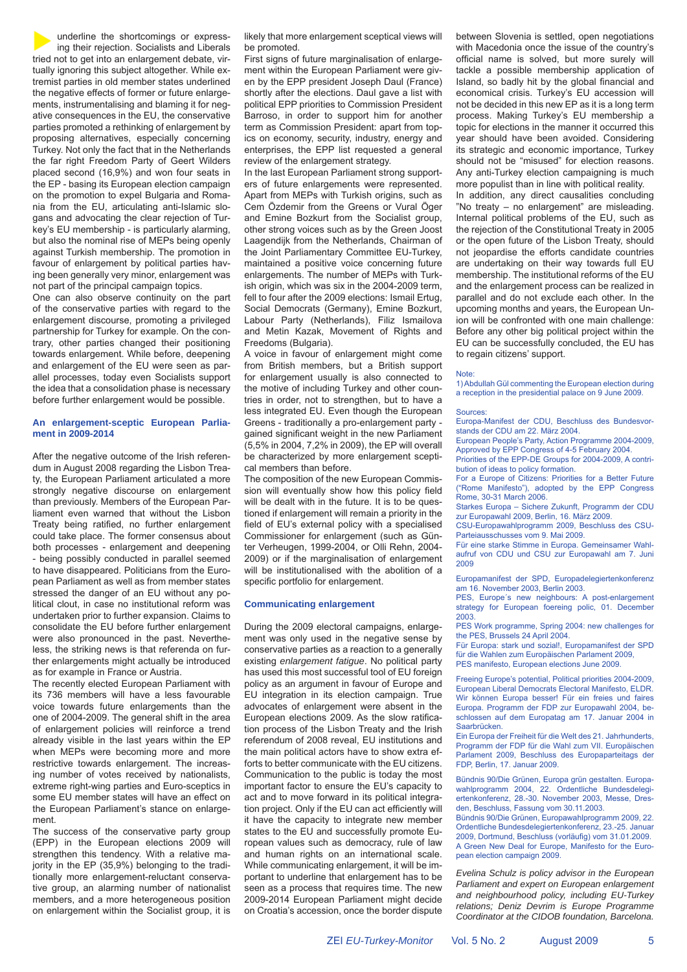underline the shortcomings or expressing their rejection. Socialists and Liberals tried not to get into an enlargement debate, virtually ignoring this subject altogether. While extremist parties in old member states underlined the negative effects of former or future enlargements, instrumentalising and blaming it for negative consequences in the EU, the conservative parties promoted a rethinking of enlargement by proposing alternatives, especially concerning Turkey. Not only the fact that in the Netherlands the far right Freedom Party of Geert Wilders placed second (16,9%) and won four seats in the EP - basing its European election campaign on the promotion to expel Bulgaria and Romania from the EU, articulating anti-Islamic slogans and advocating the clear rejection of Turkey's EU membership - is particularly alarming, but also the nominal rise of MEPs being openly against Turkish membership. The promotion in favour of enlargement by political parties having been generally very minor, enlargement was not part of the principal campaign topics.

One can also observe continuity on the part of the conservative parties with regard to the enlargement discourse, promoting a privileged partnership for Turkey for example. On the contrary, other parties changed their positioning towards enlargement. While before, deepening and enlargement of the EU were seen as parallel processes, today even Socialists support the idea that a consolidation phase is necessary before further enlargement would be possible.

#### **An enlargement-sceptic European Parliament in 2009-2014**

After the negative outcome of the Irish referendum in August 2008 regarding the Lisbon Treaty, the European Parliament articulated a more strongly negative discourse on enlargement than previously. Members of the European Parliament even warned that without the Lisbon Treaty being ratified, no further enlargement could take place. The former consensus about both processes - enlargement and deepening - being possibly conducted in parallel seemed to have disappeared. Politicians from the European Parliament as well as from member states stressed the danger of an EU without any political clout, in case no institutional reform was undertaken prior to further expansion. Claims to consolidate the EU before further enlargement were also pronounced in the past. Nevertheless, the striking news is that referenda on further enlargements might actually be introduced as for example in France or Austria.

The recently elected European Parliament with its 736 members will have a less favourable voice towards future enlargements than the one of 2004-2009. The general shift in the area of enlargement policies will reinforce a trend already visible in the last years within the EP when MEPs were becoming more and more restrictive towards enlargement. The increasing number of votes received by nationalists, extreme right-wing parties and Euro-sceptics in some EU member states will have an effect on the European Parliament's stance on enlargement.

The success of the conservative party group (EPP) in the European elections 2009 will strengthen this tendency. With a relative majority in the EP (35,9%) belonging to the traditionally more enlargement-reluctant conservative group, an alarming number of nationalist members, and a more heterogeneous position on enlargement within the Socialist group, it is likely that more enlargement sceptical views will be promoted.

First signs of future marginalisation of enlargement within the European Parliament were given by the EPP president Joseph Daul (France) shortly after the elections. Daul gave a list with political EPP priorities to Commission President Barroso, in order to support him for another term as Commission President: apart from topics on economy, security, industry, energy and enterprises, the EPP list requested a general review of the enlargement strategy.

In the last European Parliament strong supporters of future enlargements were represented. Apart from MEPs with Turkish origins, such as Cem Özdemir from the Greens or Vural Öger and Emine Bozkurt from the Socialist group, other strong voices such as by the Green Joost Laagendijk from the Netherlands, Chairman of the Joint Parliamentary Committee EU-Turkey, maintained a positive voice concerning future enlargements. The number of MEPs with Turkish origin, which was six in the 2004-2009 term, fell to four after the 2009 elections: Ismail Ertug, Social Democrats (Germany), Emine Bozkurt, Labour Party (Netherlands), Filiz Ismailova and Metin Kazak, Movement of Rights and Freedoms (Bulgaria).

A voice in favour of enlargement might come from British members, but a British support for enlargement usually is also connected to the motive of including Turkey and other countries in order, not to strengthen, but to have a less integrated EU. Even though the European Greens - traditionally a pro-enlargement party gained significant weight in the new Parliament (5,5% in 2004, 7,2% in 2009), the EP will overall be characterized by more enlargement sceptical members than before.

The composition of the new European Commission will eventually show how this policy field will be dealt with in the future. It is to be questioned if enlargement will remain a priority in the field of EU's external policy with a specialised Commissioner for enlargement (such as Günter Verheugen, 1999-2004, or Olli Rehn, 2004- 2009) or if the marginalisation of enlargement will be institutionalised with the abolition of a specific portfolio for enlargement.

#### **Communicating enlargement**

During the 2009 electoral campaigns, enlargement was only used in the negative sense by conservative parties as a reaction to a generally existing *enlargement fatigue*. No political party has used this most successful tool of EU foreign policy as an argument in favour of Europe and EU integration in its election campaign. True advocates of enlargement were absent in the European elections 2009. As the slow ratification process of the Lisbon Treaty and the Irish referendum of 2008 reveal, EU institutions and the main political actors have to show extra efforts to better communicate with the EU citizens. Communication to the public is today the most important factor to ensure the EU's capacity to act and to move forward in its political integration project. Only if the EU can act efficiently will it have the capacity to integrate new member states to the EU and successfully promote European values such as democracy, rule of law and human rights on an international scale. While communicating enlargement, it will be important to underline that enlargement has to be seen as a process that requires time. The new 2009-2014 European Parliament might decide on Croatia's accession, once the border dispute between Slovenia is settled, open negotiations with Macedonia once the issue of the country's official name is solved, but more surely will tackle a possible membership application of Island, so badly hit by the global financial and economical crisis. Turkey's EU accession will not be decided in this new EP as it is a long term process. Making Turkey's EU membership a topic for elections in the manner it occurred this year should have been avoided. Considering its strategic and economic importance, Turkey should not be "misused" for election reasons. Any anti-Turkey election campaigning is much more populist than in line with political reality.

In addition, any direct causalities concluding "No treaty – no enlargement" are misleading. Internal political problems of the EU, such as the rejection of the Constitutional Treaty in 2005 or the open future of the Lisbon Treaty, should not jeopardise the efforts candidate countries are undertaking on their way towards full EU membership. The institutional reforms of the EU and the enlargement process can be realized in parallel and do not exclude each other. In the upcoming months and years, the European Union will be confronted with one main challenge: Before any other big political project within the EU can be successfully concluded, the EU has to regain citizens' support.

#### Note:

1) Abdullah Gül commenting the European election during a reception in the presidential palace on 9 June 2009.

#### Sources:

Europa-Manifest der CDU, Beschluss des Bundesvorstands der CDU am 22. März 2004.

European People's Party, Action Programme 2004-2009, Approved by EPP Congress of 4-5 February 2004. Priorities of the EPP-DE Groups for 2004-2009, A contri-

bution of ideas to policy formation. For a Europe of Citizens: Priorities for a Better Future

("Rome Manifesto"), adopted by the EPP Congress Rome, 30-31 March 2006.

Starkes Europa – Sichere Zukunft, Programm der CDU zur Europawahl 2009, Berlin, 16. März 2009.

CSU-Europawahlprogramm 2009, Beschluss des CSU-Parteiausschusses vom 9. Mai 2009.

Für eine starke Stimme in Europa. Gemeinsamer Wahlaufruf von CDU und CSU zur Europawahl am 7. Juni 2009

Europamanifest der SPD, Europadelegiertenkonferenz am 16. November 2003, Berlin 2003.

PES, Europe´s new neighbours: A post-enlargement strategy for European foereing polic, 01. December 2003.

PES Work programme, Spring 2004: new challenges for the PES, Brussels 24 April 2004.

Für Europa: stark und sozial!, Europamanifest der SPD für die Wahlen zum Europäischen Parlament 2009, PES manifesto, European elections June 2009.

Freeing Europe's potential, Political priorities 2004-2009, European Liberal Democrats Electoral Manifesto, ELDR. Wir können Europa besser! Für ein freies und faires Europa. Programm der FDP zur Europawahl 2004, beschlossen auf dem Europatag am 17. Januar 2004 in Saarbrücken.

Ein Europa der Freiheit für die Welt des 21. Jahrhunderts, Programm der FDP für die Wahl zum VII. Europäischen Parlament 2009, Beschluss des Europaparteitags der FDP, Berlin, 17. Januar 2009.

Bündnis 90/Die Grünen, Europa grün gestalten. Europawahlprogramm 2004, 22. Ordentliche Bundesdelegiertenkonferenz, 28.-30. November 2003, Messe, Dresden, Beschluss, Fassung vom 30.11.2003.

Bündnis 90/Die Grünen, Europawahlprogramm 2009, 22. Ordentliche Bundesdelegiertenkonferenz, 23.-25. Januar 2009, Dortmund, Beschluss (vorläufig) vom 31.01.2009. A Green New Deal for Europe, Manifesto for the European election campaign 2009.

*Evelina Schulz is policy advisor in the European Parliament and expert on European enlargement and neighbourhood policy, including EU-Turkey relations; Deniz Devrim is Europe Programme Coordinator at the CIDOB foundation, Barcelona.*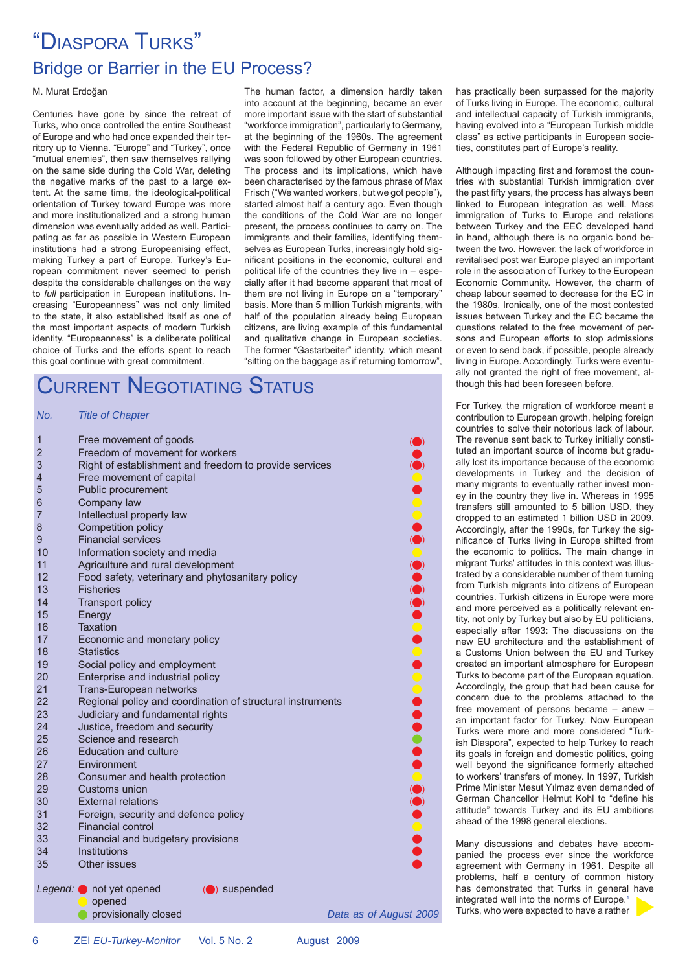### "DIASPORA TURKS" Bridge or Barrier in the EU Process?

#### M. Murat Erdoğan

Centuries have gone by since the retreat of Turks, who once controlled the entire Southeast of Europe and who had once expanded their territory up to Vienna. "Europe" and "Turkey", once "mutual enemies", then saw themselves rallying on the same side during the Cold War, deleting the negative marks of the past to a large extent. At the same time, the ideological-political orientation of Turkey toward Europe was more and more institutionalized and a strong human dimension was eventually added as well. Participating as far as possible in Western European institutions had a strong Europeanising effect, making Turkey a part of Europe. Turkey's European commitment never seemed to perish despite the considerable challenges on the way to *full* participation in European institutions. Increasing "Europeanness" was not only limited to the state, it also established itself as one of the most important aspects of modern Turkish identity. "Europeanness" is a deliberate political choice of Turks and the efforts spent to reach this goal continue with great commitment.

The human factor, a dimension hardly taken into account at the beginning, became an ever more important issue with the start of substantial "workforce immigration", particularly to Germany, at the beginning of the 1960s. The agreement with the Federal Republic of Germany in 1961 was soon followed by other European countries. The process and its implications, which have been characterised by the famous phrase of Max Frisch ("We wanted workers, but we got people"), started almost half a century ago. Even though the conditions of the Cold War are no longer present, the process continues to carry on. The immigrants and their families, identifying themselves as European Turks, increasingly hold signifi cant positions in the economic, cultural and political life of the countries they live in – especially after it had become apparent that most of them are not living in Europe on a "temporary" basis. More than 5 million Turkish migrants, with half of the population already being European citizens, are living example of this fundamental and qualitative change in European societies. The former "Gastarbeiter" identity, which meant "sitting on the baggage as if returning tomorrow",

### CURRENT NEGOTIATING STATUS

#### *No. Title of Chapter*

| 1              | Free movement of goods                                     |                                                              |
|----------------|------------------------------------------------------------|--------------------------------------------------------------|
| $\overline{2}$ | Freedom of movement for workers                            |                                                              |
| 3              | Right of establishment and freedom to provide services     |                                                              |
| 4              | Free movement of capital                                   |                                                              |
| 5              | Public procurement                                         |                                                              |
| 6              | Company law                                                |                                                              |
| $\overline{7}$ | Intellectual property law                                  | OOOO                                                         |
| 8              | Competition policy                                         |                                                              |
| 9              | <b>Financial services</b>                                  |                                                              |
| 10             | Information society and media                              |                                                              |
| 11             | Agriculture and rural development                          |                                                              |
| 12             | Food safety, veterinary and phytosanitary policy           |                                                              |
| 13             | <b>Fisheries</b>                                           |                                                              |
| 14             | <b>Transport policy</b>                                    | $\begin{array}{c} \bullet \\ \bullet \\ \bullet \end{array}$ |
| 15             | Energy                                                     |                                                              |
| 16             | <b>Taxation</b>                                            |                                                              |
| 17             | Economic and monetary policy                               |                                                              |
| 18             | <b>Statistics</b>                                          |                                                              |
| 19             | Social policy and employment                               |                                                              |
| 20             | Enterprise and industrial policy                           |                                                              |
| 21             | Trans-European networks                                    |                                                              |
| 22             | Regional policy and coordination of structural instruments |                                                              |
| 23             | Judiciary and fundamental rights                           |                                                              |
| 24             | Justice, freedom and security                              |                                                              |
| 25             | Science and research                                       |                                                              |
| 26             | <b>Education and culture</b>                               |                                                              |
| 27             | Environment                                                |                                                              |
| 28             | Consumer and health protection                             |                                                              |
| 29             | Customs union                                              |                                                              |
| 30             | <b>External relations</b>                                  |                                                              |
| 31             | Foreign, security and defence policy                       |                                                              |
| 32             | <b>Financial control</b>                                   |                                                              |
| 33             | Financial and budgetary provisions                         |                                                              |
| 34             | Institutions                                               |                                                              |
| 35             | Other issues                                               |                                                              |
| Legend: (      | (O) suspended<br>not yet opened<br>opened                  |                                                              |
|                | provisionally closed                                       | Data as of August 2009                                       |
|                |                                                            |                                                              |

has practically been surpassed for the majority of Turks living in Europe. The economic, cultural and intellectual capacity of Turkish immigrants, having evolved into a "European Turkish middle class" as active participants in European societies, constitutes part of Europe's reality.

Although impacting first and foremost the countries with substantial Turkish immigration over the past fifty years, the process has always been linked to European integration as well. Mass immigration of Turks to Europe and relations between Turkey and the EEC developed hand in hand, although there is no organic bond between the two. However, the lack of workforce in revitalised post war Europe played an important role in the association of Turkey to the European Economic Community. However, the charm of cheap labour seemed to decrease for the EC in the 1980s. Ironically, one of the most contested issues between Turkey and the EC became the questions related to the free movement of persons and European efforts to stop admissions or even to send back, if possible, people already living in Europe. Accordingly, Turks were eventually not granted the right of free movement, although this had been foreseen before.

For Turkey, the migration of workforce meant a contribution to European growth, helping foreign countries to solve their notorious lack of labour. The revenue sent back to Turkey initially constituted an important source of income but gradually lost its importance because of the economic developments in Turkey and the decision of many migrants to eventually rather invest money in the country they live in. Whereas in 1995 transfers still amounted to 5 billion USD, they dropped to an estimated 1 billion USD in 2009. Accordingly, after the 1990s, for Turkey the significance of Turks living in Europe shifted from the economic to politics. The main change in migrant Turks' attitudes in this context was illustrated by a considerable number of them turning from Turkish migrants into citizens of European countries. Turkish citizens in Europe were more and more perceived as a politically relevant entity, not only by Turkey but also by EU politicians, especially after 1993: The discussions on the new EU architecture and the establishment of a Customs Union between the EU and Turkey created an important atmosphere for European Turks to become part of the European equation. Accordingly, the group that had been cause for concern due to the problems attached to the free movement of persons became – anew – an important factor for Turkey. Now European Turks were more and more considered "Turkish Diaspora", expected to help Turkey to reach its goals in foreign and domestic politics, going well beyond the significance formerly attached to workers' transfers of money. In 1997, Turkish Prime Minister Mesut Yılmaz even demanded of German Chancellor Helmut Kohl to "define his attitude" towards Turkey and its EU ambitions ahead of the 1998 general elections.

Many discussions and debates have accompanied the process ever since the workforce agreement with Germany in 1961. Despite all problems, half a century of common history has demonstrated that Turks in general have integrated well into the norms of Europe.<sup>1</sup> Turks, who were expected to have a rather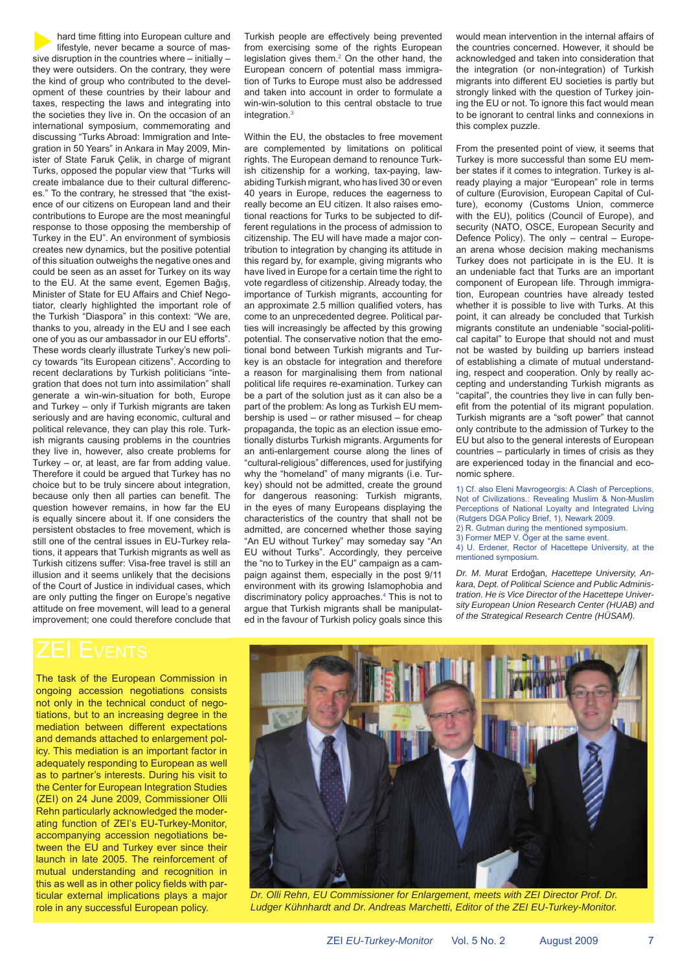hard time fitting into European culture and lifestyle, never became a source of massive disruption in the countries where – initially – they were outsiders. On the contrary, they were the kind of group who contributed to the development of these countries by their labour and taxes, respecting the laws and integrating into the societies they live in. On the occasion of an international symposium, commemorating and discussing "Turks Abroad: Immigration and Integration in 50 Years" in Ankara in May 2009, Minister of State Faruk Çelik, in charge of migrant Turks, opposed the popular view that "Turks will create imbalance due to their cultural differences." To the contrary, he stressed that "the existence of our citizens on European land and their contributions to Europe are the most meaningful response to those opposing the membership of Turkey in the EU". An environment of symbiosis creates new dynamics, but the positive potential of this situation outweighs the negative ones and could be seen as an asset for Turkey on its way to the EU. At the same event, Egemen Bağış, Minister of State for EU Affairs and Chief Negotiator, clearly highlighted the important role of the Turkish "Diaspora" in this context: "We are, thanks to you, already in the EU and I see each one of you as our ambassador in our EU efforts". These words clearly illustrate Turkey's new policy towards "its European citizens". According to recent declarations by Turkish politicians "integration that does not turn into assimilation" shall generate a win-win-situation for both, Europe and Turkey – only if Turkish migrants are taken seriously and are having economic, cultural and political relevance, they can play this role. Turkish migrants causing problems in the countries they live in, however, also create problems for Turkey – or, at least, are far from adding value. Therefore it could be argued that Turkey has no choice but to be truly sincere about integration, because only then all parties can benefit. The question however remains, in how far the EU is equally sincere about it. If one considers the persistent obstacles to free movement, which is still one of the central issues in EU-Turkey relations, it appears that Turkish migrants as well as Turkish citizens suffer: Visa-free travel is still an illusion and it seems unlikely that the decisions of the Court of Justice in individual cases, which are only putting the finger on Europe's negative attitude on free movement, will lead to a general improvement; one could therefore conclude that Turkish people are effectively being prevented from exercising some of the rights European legislation gives them. $2$  On the other hand, the European concern of potential mass immigration of Turks to Europe must also be addressed and taken into account in order to formulate a win-win-solution to this central obstacle to true integration $3$ 

Within the EU, the obstacles to free movement are complemented by limitations on political rights. The European demand to renounce Turkish citizenship for a working, tax-paying, lawabiding Turkish migrant, who has lived 30 or even 40 years in Europe, reduces the eagerness to really become an EU citizen. It also raises emotional reactions for Turks to be subjected to different regulations in the process of admission to citizenship. The EU will have made a major contribution to integration by changing its attitude in this regard by, for example, giving migrants who have lived in Europe for a certain time the right to vote regardless of citizenship. Already today, the importance of Turkish migrants, accounting for an approximate 2.5 million qualified voters, has come to an unprecedented degree. Political parties will increasingly be affected by this growing potential. The conservative notion that the emotional bond between Turkish migrants and Turkey is an obstacle for integration and therefore a reason for marginalising them from national political life requires re-examination. Turkey can be a part of the solution just as it can also be a part of the problem: As long as Turkish EU membership is used – or rather misused – for cheap propaganda, the topic as an election issue emotionally disturbs Turkish migrants. Arguments for an anti-enlargement course along the lines of "cultural-religious" differences, used for justifying why the "homeland" of many migrants (i.e. Turkey) should not be admitted, create the ground for dangerous reasoning: Turkish migrants, in the eyes of many Europeans displaying the characteristics of the country that shall not be admitted, are concerned whether those saying "An EU without Turkey" may someday say "An EU without Turks". Accordingly, they perceive the "no to Turkey in the EU" campaign as a campaign against them, especially in the post 9/11 environment with its growing Islamophobia and discriminatory policy approaches.<sup>4</sup> This is not to argue that Turkish migrants shall be manipulated in the favour of Turkish policy goals since this would mean intervention in the internal affairs of the countries concerned. However, it should be acknowledged and taken into consideration that the integration (or non-integration) of Turkish migrants into different EU societies is partly but strongly linked with the question of Turkey joining the EU or not. To ignore this fact would mean to be ignorant to central links and connexions in this complex puzzle.

From the presented point of view, it seems that Turkey is more successful than some EU member states if it comes to integration. Turkey is already playing a major "European" role in terms of culture (Eurovision, European Capital of Culture), economy (Customs Union, commerce with the EU), politics (Council of Europe), and security (NATO, OSCE, European Security and Defence Policy). The only – central – European arena whose decision making mechanisms Turkey does not participate in is the EU. It is an undeniable fact that Turks are an important component of European life. Through immigration, European countries have already tested whether it is possible to live with Turks. At this point, it can already be concluded that Turkish migrants constitute an undeniable "social-political capital" to Europe that should not and must not be wasted by building up barriers instead of establishing a climate of mutual understanding, respect and cooperation. Only by really accepting and understanding Turkish migrants as "capital", the countries they live in can fully benefit from the potential of its migrant population. Turkish migrants are a "soft power" that cannot only contribute to the admission of Turkey to the EU but also to the general interests of European countries – particularly in times of crisis as they are experienced today in the financial and economic sphere.

1) Cf. also Eleni Mavrogeorgis: A Clash of Perceptions, Not of Civilizations.: Revealing Muslim & Non-Muslim Perceptions of National Loyalty and Integrated Living (Rutgers DGA Policy Brief, 1), Newark 2009.

2) R. Gutman during the mentioned symposium. 3) Former MEP V. Öger at the same event.

mentioned symposium.

4) U. Erdener, Rector of Hacettepe University, at the

*Dr. M. Murat* Erdoğan*, Hacettepe University, Ankara, Dept. of Political Science and Public Administration. He is Vice Director of the Hacettepe University European Union Research Center (HUAB) and of the Strategical Research Centre (HÜSAM).*

The task of the European Commission in ongoing accession negotiations consists not only in the technical conduct of negotiations, but to an increasing degree in the mediation between different expectations and demands attached to enlargement policy. This mediation is an important factor in adequately responding to European as well as to partner's interests. During his visit to the Center for European Integration Studies (ZEI) on 24 June 2009, Commissioner Olli Rehn particularly acknowledged the moderating function of ZEI's EU-Turkey-Monitor, accompanying accession negotiations between the EU and Turkey ever since their launch in late 2005. The reinforcement of mutual understanding and recognition in this as well as in other policy fields with particular external implications plays a major role in any successful European policy.



 *Dr. Olli Rehn, EU Commissioner for Enlargement, meets with ZEI Director Prof. Dr. Ludger Kühnhardt and Dr. Andreas Marchetti, Editor of the ZEI EU-Turkey-Monitor.*